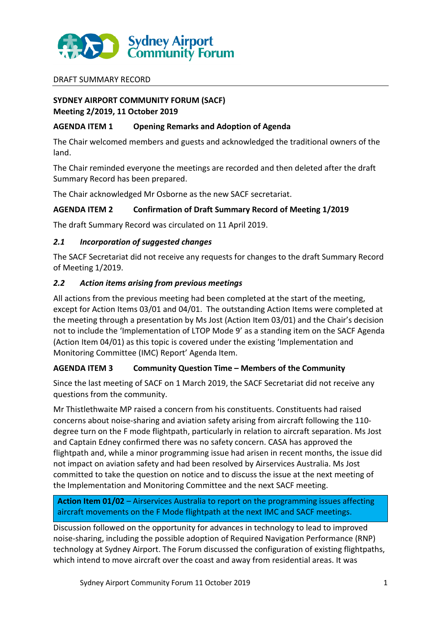

### DRAFT SUMMARY RECORD

# **SYDNEY AIRPORT COMMUNITY FORUM (SACF) Meeting 2/2019, 11 October 2019**

## **AGENDA ITEM 1 Opening Remarks and Adoption of Agenda**

The Chair welcomed members and guests and acknowledged the traditional owners of the land.

The Chair reminded everyone the meetings are recorded and then deleted after the draft Summary Record has been prepared.

The Chair acknowledged Mr Osborne as the new SACF secretariat.

# **AGENDA ITEM 2 Confirmation of Draft Summary Record of Meeting 1/2019**

The draft Summary Record was circulated on 11 April 2019.

## *2.1 Incorporation of suggested changes*

The SACF Secretariat did not receive any requests for changes to the draft Summary Record of Meeting 1/2019.

## *2.2 Action items arising from previous meetings*

All actions from the previous meeting had been completed at the start of the meeting, except for Action Items 03/01 and 04/01. The outstanding Action Items were completed at the meeting through a presentation by Ms Jost (Action Item 03/01) and the Chair's decision not to include the 'Implementation of LTOP Mode 9' as a standing item on the SACF Agenda (Action Item 04/01) as this topic is covered under the existing 'Implementation and Monitoring Committee (IMC) Report' Agenda Item.

# **AGENDA ITEM 3 Community Question Time – Members of the Community**

Since the last meeting of SACF on 1 March 2019, the SACF Secretariat did not receive any questions from the community.

Mr Thistlethwaite MP raised a concern from his constituents. Constituents had raised concerns about noise-sharing and aviation safety arising from aircraft following the 110 degree turn on the F mode flightpath, particularly in relation to aircraft separation. Ms Jost and Captain Edney confirmed there was no safety concern. CASA has approved the flightpath and, while a minor programming issue had arisen in recent months, the issue did not impact on aviation safety and had been resolved by Airservices Australia. Ms Jost committed to take the question on notice and to discuss the issue at the next meeting of the Implementation and Monitoring Committee and the next SACF meeting.

**Action Item 01/02** – Airservices Australia to report on the programming issues affecting aircraft movements on the F Mode flightpath at the next IMC and SACF meetings.

Discussion followed on the opportunity for advances in technology to lead to improved noise-sharing, including the possible adoption of Required Navigation Performance (RNP) technology at Sydney Airport. The Forum discussed the configuration of existing flightpaths, which intend to move aircraft over the coast and away from residential areas. It was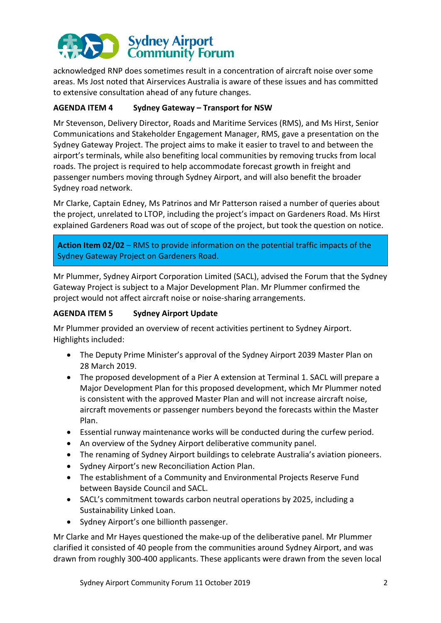

acknowledged RNP does sometimes result in a concentration of aircraft noise over some areas. Ms Jost noted that Airservices Australia is aware of these issues and has committed to extensive consultation ahead of any future changes.

# **AGENDA ITEM 4 Sydney Gateway – Transport for NSW**

Mr Stevenson, Delivery Director, Roads and Maritime Services (RMS), and Ms Hirst, Senior Communications and Stakeholder Engagement Manager, RMS, gave a presentation on the Sydney Gateway Project. The project aims to make it easier to travel to and between the airport's terminals, while also benefiting local communities by removing trucks from local roads. The project is required to help accommodate forecast growth in freight and passenger numbers moving through Sydney Airport, and will also benefit the broader Sydney road network.

Mr Clarke, Captain Edney, Ms Patrinos and Mr Patterson raised a number of queries about the project, unrelated to LTOP, including the project's impact on Gardeners Road. Ms Hirst explained Gardeners Road was out of scope of the project, but took the question on notice.

**Action Item 02/02** – RMS to provide information on the potential traffic impacts of the Sydney Gateway Project on Gardeners Road.

Mr Plummer, Sydney Airport Corporation Limited (SACL), advised the Forum that the Sydney Gateway Project is subject to a Major Development Plan. Mr Plummer confirmed the project would not affect aircraft noise or noise-sharing arrangements.

## **AGENDA ITEM 5 Sydney Airport Update**

Mr Plummer provided an overview of recent activities pertinent to Sydney Airport. Highlights included:

- The Deputy Prime Minister's approval of the Sydney Airport 2039 Master Plan on 28 March 2019.
- The proposed development of a Pier A extension at Terminal 1. SACL will prepare a Major Development Plan for this proposed development, which Mr Plummer noted is consistent with the approved Master Plan and will not increase aircraft noise, aircraft movements or passenger numbers beyond the forecasts within the Master Plan.
- Essential runway maintenance works will be conducted during the curfew period.
- An overview of the Sydney Airport deliberative community panel.
- The renaming of Sydney Airport buildings to celebrate Australia's aviation pioneers.
- Sydney Airport's new Reconciliation Action Plan.
- The establishment of a Community and Environmental Projects Reserve Fund between Bayside Council and SACL.
- SACL's commitment towards carbon neutral operations by 2025, including a Sustainability Linked Loan.
- Sydney Airport's one billionth passenger.

Mr Clarke and Mr Hayes questioned the make-up of the deliberative panel. Mr Plummer clarified it consisted of 40 people from the communities around Sydney Airport, and was drawn from roughly 300-400 applicants. These applicants were drawn from the seven local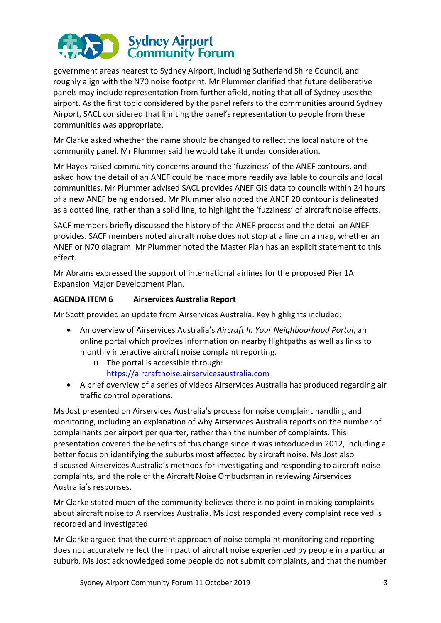

government areas nearest to Sydney Airport, including Sutherland Shire Council, and roughly align with the N70 noise footprint. Mr Plummer clarified that future deliberative panels may include representation from further afield, noting that all of Sydney uses the airport. As the first topic considered by the panel refers to the communities around Sydney Airport, SACL considered that limiting the panel's representation to people from these communities was appropriate.

Mr Clarke asked whether the name should be changed to reflect the local nature of the community panel. Mr Plummer said he would take it under consideration.

Mr Hayes raised community concerns around the 'fuzziness' of the ANEF contours, and asked how the detail of an ANEF could be made more readily available to councils and local communities. Mr Plummer advised SACL provides ANEF GIS data to councils within 24 hours of a new ANEF being endorsed. Mr Plummer also noted the ANEF 20 contour is delineated as a dotted line, rather than a solid line, to highlight the 'fuzziness' of aircraft noise effects.

SACF members briefly discussed the history of the ANEF process and the detail an ANEF provides. SACF members noted aircraft noise does not stop at a line on a map, whether an ANEF or N70 diagram. Mr Plummer noted the Master Plan has an explicit statement to this effect.

Mr Abrams expressed the support of international airlines for the proposed Pier 1A Expansion Major Development Plan.

## **AGENDA ITEM 6 Airservices Australia Report**

Mr Scott provided an update from Airservices Australia. Key highlights included:

- An overview of Airservices Australia's *Aircraft In Your Neighbourhood Portal*, an online portal which provides information on nearby flightpaths as well as links to monthly interactive aircraft noise complaint reporting.
	- o The portal is accessible through:
		- [https://aircraftnoise.airservicesaustralia.com](https://aircraftnoise.airservicesaustralia.com/)
- A brief overview of a series of videos Airservices Australia has produced regarding air traffic control operations.

Ms Jost presented on Airservices Australia's process for noise complaint handling and monitoring, including an explanation of why Airservices Australia reports on the number of complainants per airport per quarter, rather than the number of complaints. This presentation covered the benefits of this change since it was introduced in 2012, including a better focus on identifying the suburbs most affected by aircraft noise. Ms Jost also discussed Airservices Australia's methods for investigating and responding to aircraft noise complaints, and the role of the Aircraft Noise Ombudsman in reviewing Airservices Australia's responses.

Mr Clarke stated much of the community believes there is no point in making complaints about aircraft noise to Airservices Australia. Ms Jost responded every complaint received is recorded and investigated.

Mr Clarke argued that the current approach of noise complaint monitoring and reporting does not accurately reflect the impact of aircraft noise experienced by people in a particular suburb. Ms Jost acknowledged some people do not submit complaints, and that the number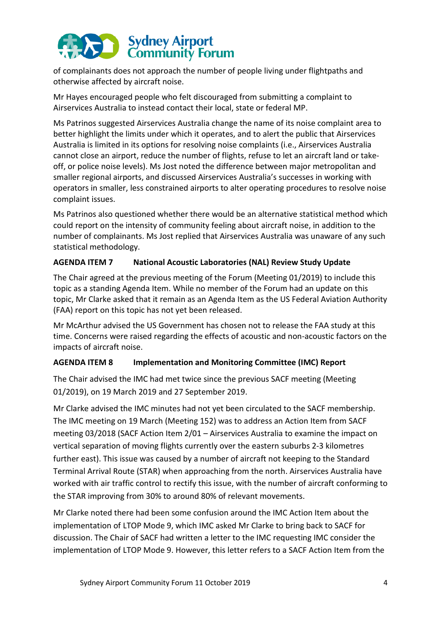# **Sydney Airport<br>Community Forum**

of complainants does not approach the number of people living under flightpaths and otherwise affected by aircraft noise.

Mr Hayes encouraged people who felt discouraged from submitting a complaint to Airservices Australia to instead contact their local, state or federal MP.

Ms Patrinos suggested Airservices Australia change the name of its noise complaint area to better highlight the limits under which it operates, and to alert the public that Airservices Australia is limited in its options for resolving noise complaints (i.e., Airservices Australia cannot close an airport, reduce the number of flights, refuse to let an aircraft land or takeoff, or police noise levels). Ms Jost noted the difference between major metropolitan and smaller regional airports, and discussed Airservices Australia's successes in working with operators in smaller, less constrained airports to alter operating procedures to resolve noise complaint issues.

Ms Patrinos also questioned whether there would be an alternative statistical method which could report on the intensity of community feeling about aircraft noise, in addition to the number of complainants. Ms Jost replied that Airservices Australia was unaware of any such statistical methodology.

# **AGENDA ITEM 7 National Acoustic Laboratories (NAL) Review Study Update**

The Chair agreed at the previous meeting of the Forum (Meeting 01/2019) to include this topic as a standing Agenda Item. While no member of the Forum had an update on this topic, Mr Clarke asked that it remain as an Agenda Item as the US Federal Aviation Authority (FAA) report on this topic has not yet been released.

Mr McArthur advised the US Government has chosen not to release the FAA study at this time. Concerns were raised regarding the effects of acoustic and non-acoustic factors on the impacts of aircraft noise.

# **AGENDA ITEM 8 Implementation and Monitoring Committee (IMC) Report**

The Chair advised the IMC had met twice since the previous SACF meeting (Meeting 01/2019), on 19 March 2019 and 27 September 2019.

Mr Clarke advised the IMC minutes had not yet been circulated to the SACF membership. The IMC meeting on 19 March (Meeting 152) was to address an Action Item from SACF meeting 03/2018 (SACF Action Item 2/01 – Airservices Australia to examine the impact on vertical separation of moving flights currently over the eastern suburbs 2-3 kilometres further east). This issue was caused by a number of aircraft not keeping to the Standard Terminal Arrival Route (STAR) when approaching from the north. Airservices Australia have worked with air traffic control to rectify this issue, with the number of aircraft conforming to the STAR improving from 30% to around 80% of relevant movements.

Mr Clarke noted there had been some confusion around the IMC Action Item about the implementation of LTOP Mode 9, which IMC asked Mr Clarke to bring back to SACF for discussion. The Chair of SACF had written a letter to the IMC requesting IMC consider the implementation of LTOP Mode 9. However, this letter refers to a SACF Action Item from the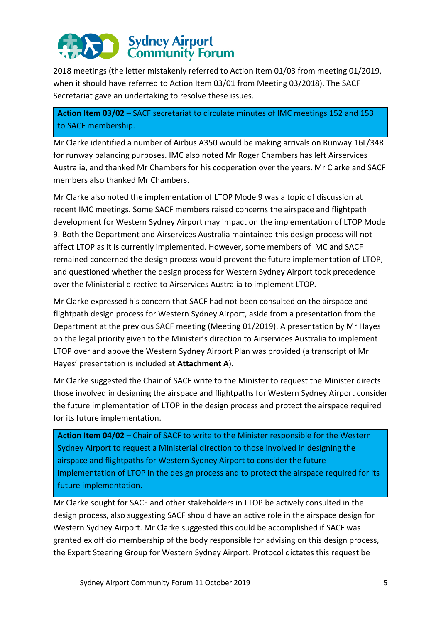# Sydney Airport<br>Community Forum

2018 meetings (the letter mistakenly referred to Action Item 01/03 from meeting 01/2019, when it should have referred to Action Item 03/01 from Meeting 03/2018). The SACF Secretariat gave an undertaking to resolve these issues.

**Action Item 03/02** – SACF secretariat to circulate minutes of IMC meetings 152 and 153 to SACF membership.

Mr Clarke identified a number of Airbus A350 would be making arrivals on Runway 16L/34R for runway balancing purposes. IMC also noted Mr Roger Chambers has left Airservices Australia, and thanked Mr Chambers for his cooperation over the years. Mr Clarke and SACF members also thanked Mr Chambers.

Mr Clarke also noted the implementation of LTOP Mode 9 was a topic of discussion at recent IMC meetings. Some SACF members raised concerns the airspace and flightpath development for Western Sydney Airport may impact on the implementation of LTOP Mode 9. Both the Department and Airservices Australia maintained this design process will not affect LTOP as it is currently implemented. However, some members of IMC and SACF remained concerned the design process would prevent the future implementation of LTOP, and questioned whether the design process for Western Sydney Airport took precedence over the Ministerial directive to Airservices Australia to implement LTOP.

Mr Clarke expressed his concern that SACF had not been consulted on the airspace and flightpath design process for Western Sydney Airport, aside from a presentation from the Department at the previous SACF meeting (Meeting 01/2019). A presentation by Mr Hayes on the legal priority given to the Minister's direction to Airservices Australia to implement LTOP over and above the Western Sydney Airport Plan was provided (a transcript of Mr Hayes' presentation is included at **Attachment A**).

Mr Clarke suggested the Chair of SACF write to the Minister to request the Minister directs those involved in designing the airspace and flightpaths for Western Sydney Airport consider the future implementation of LTOP in the design process and protect the airspace required for its future implementation.

**Action Item 04/02** – Chair of SACF to write to the Minister responsible for the Western Sydney Airport to request a Ministerial direction to those involved in designing the airspace and flightpaths for Western Sydney Airport to consider the future implementation of LTOP in the design process and to protect the airspace required for its future implementation.

Mr Clarke sought for SACF and other stakeholders in LTOP be actively consulted in the design process, also suggesting SACF should have an active role in the airspace design for Western Sydney Airport. Mr Clarke suggested this could be accomplished if SACF was granted ex officio membership of the body responsible for advising on this design process, the Expert Steering Group for Western Sydney Airport. Protocol dictates this request be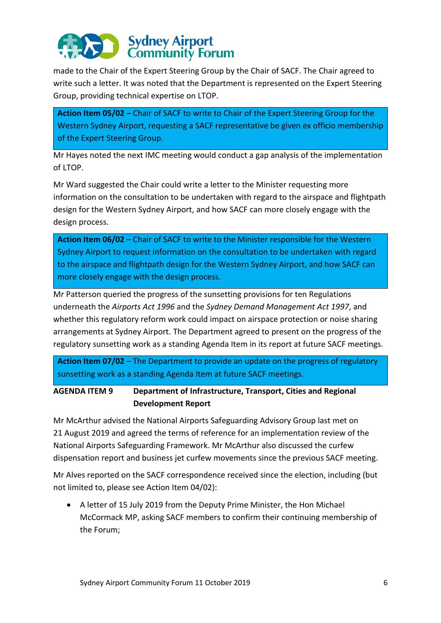# Sydney Airport<br>Community Forum

made to the Chair of the Expert Steering Group by the Chair of SACF. The Chair agreed to write such a letter. It was noted that the Department is represented on the Expert Steering Group, providing technical expertise on LTOP.

**Action Item 05/02** – Chair of SACF to write to Chair of the Expert Steering Group for the Western Sydney Airport, requesting a SACF representative be given ex officio membership of the Expert Steering Group.

Mr Hayes noted the next IMC meeting would conduct a gap analysis of the implementation of LTOP.

Mr Ward suggested the Chair could write a letter to the Minister requesting more information on the consultation to be undertaken with regard to the airspace and flightpath design for the Western Sydney Airport, and how SACF can more closely engage with the design process.

**Action Item 06/02** – Chair of SACF to write to the Minister responsible for the Western Sydney Airport to request information on the consultation to be undertaken with regard to the airspace and flightpath design for the Western Sydney Airport, and how SACF can more closely engage with the design process.

Mr Patterson queried the progress of the sunsetting provisions for ten Regulations underneath the *Airports Act 1996* and the *Sydney Demand Management Act 1997*, and whether this regulatory reform work could impact on airspace protection or noise sharing arrangements at Sydney Airport. The Department agreed to present on the progress of the regulatory sunsetting work as a standing Agenda Item in its report at future SACF meetings.

**Action Item 07/02** – The Department to provide an update on the progress of regulatory sunsetting work as a standing Agenda Item at future SACF meetings.

**AGENDA ITEM 9 Department of Infrastructure, Transport, Cities and Regional Development Report** 

Mr McArthur advised the National Airports Safeguarding Advisory Group last met on 21 August 2019 and agreed the terms of reference for an implementation review of the National Airports Safeguarding Framework. Mr McArthur also discussed the curfew dispensation report and business jet curfew movements since the previous SACF meeting.

Mr Alves reported on the SACF correspondence received since the election, including (but not limited to, please see Action Item 04/02):

 A letter of 15 July 2019 from the Deputy Prime Minister, the Hon Michael McCormack MP, asking SACF members to confirm their continuing membership of the Forum;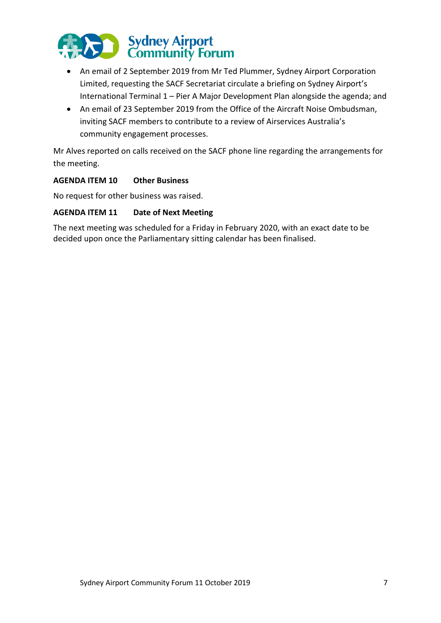

- An email of 2 September 2019 from Mr Ted Plummer, Sydney Airport Corporation Limited, requesting the SACF Secretariat circulate a briefing on Sydney Airport's International Terminal 1 – Pier A Major Development Plan alongside the agenda; and
- An email of 23 September 2019 from the Office of the Aircraft Noise Ombudsman, inviting SACF members to contribute to a review of Airservices Australia's community engagement processes.

Mr Alves reported on calls received on the SACF phone line regarding the arrangements for the meeting.

# **AGENDA ITEM 10 Other Business**

No request for other business was raised.

### **AGENDA ITEM 11 Date of Next Meeting**

The next meeting was scheduled for a Friday in February 2020, with an exact date to be decided upon once the Parliamentary sitting calendar has been finalised.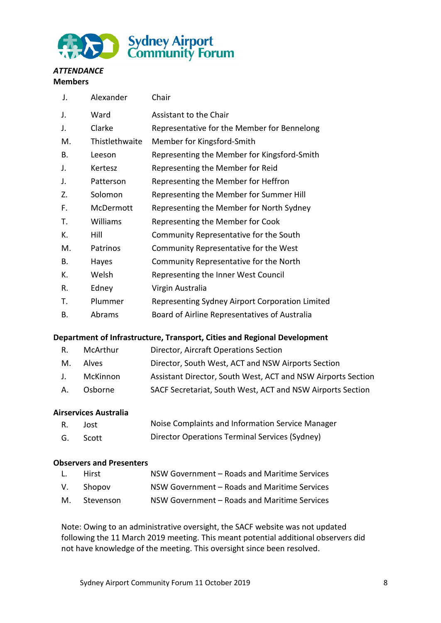

#### *ATTENDANCE*  **Members**

| J. | Alexander      | Chair                                           |
|----|----------------|-------------------------------------------------|
| J. | Ward           | Assistant to the Chair                          |
| J. | Clarke         | Representative for the Member for Bennelong     |
| М. | Thistlethwaite | Member for Kingsford-Smith                      |
| В. | Leeson         | Representing the Member for Kingsford-Smith     |
| J. | Kertesz        | Representing the Member for Reid                |
| J. | Patterson      | Representing the Member for Heffron             |
| Z. | Solomon        | Representing the Member for Summer Hill         |
| F. | McDermott      | Representing the Member for North Sydney        |
| Τ. | Williams       | Representing the Member for Cook                |
| К. | Hill           | Community Representative for the South          |
| M. | Patrinos       | Community Representative for the West           |
| В. | Hayes          | Community Representative for the North          |
| К. | Welsh          | Representing the Inner West Council             |
| R. | Edney          | Virgin Australia                                |
| Τ. | Plummer        | Representing Sydney Airport Corporation Limited |
| В. | Abrams         | Board of Airline Representatives of Australia   |

# **Department of Infrastructure, Transport, Cities and Regional Development**

| R. | McArthur | Director, Aircraft Operations Section                        |
|----|----------|--------------------------------------------------------------|
| M. | Alves    | Director, South West, ACT and NSW Airports Section           |
| J. | McKinnon | Assistant Director, South West, ACT and NSW Airports Section |
| А. | Osborne  | SACF Secretariat, South West, ACT and NSW Airports Section   |

# **Airservices Australia**

| R. | Jost     | Noise Complaints and Information Service Manager |
|----|----------|--------------------------------------------------|
|    | G. Scott | Director Operations Terminal Services (Sydney)   |

### **Observers and Presenters**

| L. | Hirst        | NSW Government - Roads and Maritime Services |
|----|--------------|----------------------------------------------|
|    | V. Shopov    | NSW Government - Roads and Maritime Services |
|    | M. Stevenson | NSW Government - Roads and Maritime Services |

Note: Owing to an administrative oversight, the SACF website was not updated following the 11 March 2019 meeting. This meant potential additional observers did not have knowledge of the meeting. This oversight since been resolved.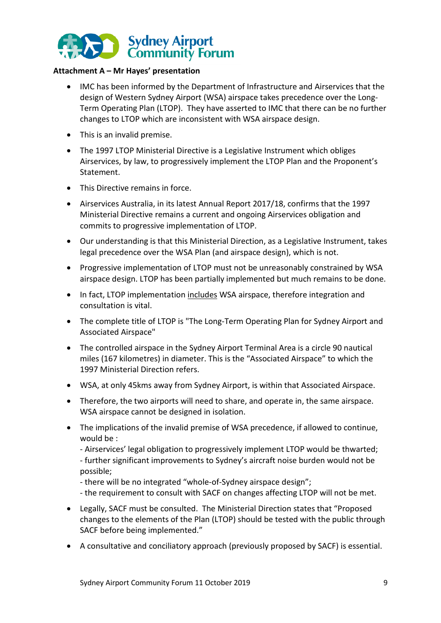

## **Attachment A – Mr Hayes' presentation**

- IMC has been informed by the Department of Infrastructure and Airservices that the design of Western Sydney Airport (WSA) airspace takes precedence over the Long-Term Operating Plan (LTOP). They have asserted to IMC that there can be no further changes to LTOP which are inconsistent with WSA airspace design.
- This is an invalid premise.
- The 1997 LTOP Ministerial Directive is a Legislative Instrument which obliges Airservices, by law, to progressively implement the LTOP Plan and the Proponent's Statement.
- This Directive remains in force.
- Airservices Australia, in its latest Annual Report 2017/18, confirms that the 1997 Ministerial Directive remains a current and ongoing Airservices obligation and commits to progressive implementation of LTOP.
- Our understanding is that this Ministerial Direction, as a Legislative Instrument, takes legal precedence over the WSA Plan (and airspace design), which is not.
- Progressive implementation of LTOP must not be unreasonably constrained by WSA airspace design. LTOP has been partially implemented but much remains to be done.
- In fact, LTOP implementation includes WSA airspace, therefore integration and consultation is vital.
- The complete title of LTOP is "The Long-Term Operating Plan for Sydney Airport and Associated Airspace"
- The controlled airspace in the Sydney Airport Terminal Area is a circle 90 nautical miles (167 kilometres) in diameter. This is the "Associated Airspace" to which the 1997 Ministerial Direction refers.
- WSA, at only 45kms away from Sydney Airport, is within that Associated Airspace.
- Therefore, the two airports will need to share, and operate in, the same airspace. WSA airspace cannot be designed in isolation.
- The implications of the invalid premise of WSA precedence, if allowed to continue, would be :
	- Airservices' legal obligation to progressively implement LTOP would be thwarted;

- further significant improvements to Sydney's aircraft noise burden would not be possible;

- there will be no integrated "whole-of-Sydney airspace design";
- the requirement to consult with SACF on changes affecting LTOP will not be met.
- Legally, SACF must be consulted. The Ministerial Direction states that "Proposed changes to the elements of the Plan (LTOP) should be tested with the public through SACF before being implemented."
- A consultative and conciliatory approach (previously proposed by SACF) is essential.